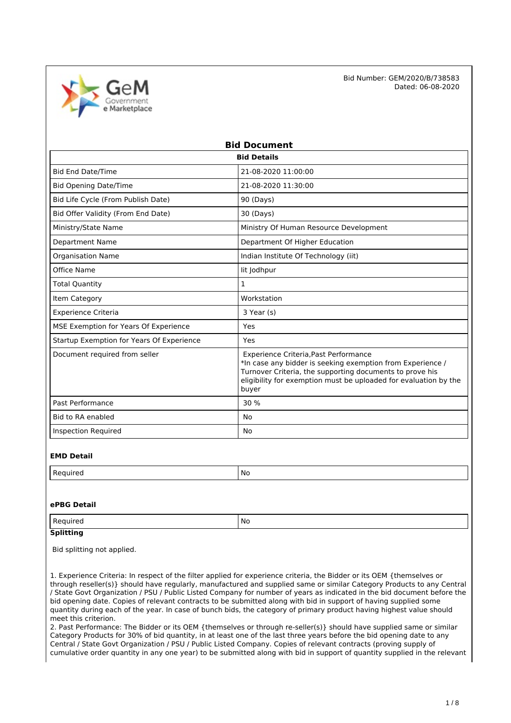

| <b>Bid Document</b>                       |                                                                                                                                                                                                                                              |  |  |
|-------------------------------------------|----------------------------------------------------------------------------------------------------------------------------------------------------------------------------------------------------------------------------------------------|--|--|
| <b>Bid Details</b>                        |                                                                                                                                                                                                                                              |  |  |
| <b>Bid End Date/Time</b>                  | 21-08-2020 11:00:00                                                                                                                                                                                                                          |  |  |
| <b>Bid Opening Date/Time</b>              | 21-08-2020 11:30:00                                                                                                                                                                                                                          |  |  |
| Bid Life Cycle (From Publish Date)        | 90 (Days)                                                                                                                                                                                                                                    |  |  |
| Bid Offer Validity (From End Date)        | 30 (Days)                                                                                                                                                                                                                                    |  |  |
| Ministry/State Name                       | Ministry Of Human Resource Development                                                                                                                                                                                                       |  |  |
| <b>Department Name</b>                    | Department Of Higher Education                                                                                                                                                                                                               |  |  |
| Organisation Name                         | Indian Institute Of Technology (iit)                                                                                                                                                                                                         |  |  |
| Office Name                               | lit Jodhpur                                                                                                                                                                                                                                  |  |  |
| <b>Total Quantity</b>                     | $\mathbf{1}$                                                                                                                                                                                                                                 |  |  |
| Item Category                             | Workstation                                                                                                                                                                                                                                  |  |  |
| <b>Experience Criteria</b>                | 3 Year (s)                                                                                                                                                                                                                                   |  |  |
| MSE Exemption for Years Of Experience     | Yes                                                                                                                                                                                                                                          |  |  |
| Startup Exemption for Years Of Experience | Yes                                                                                                                                                                                                                                          |  |  |
| Document required from seller             | Experience Criteria, Past Performance<br>*In case any bidder is seeking exemption from Experience /<br>Turnover Criteria, the supporting documents to prove his<br>eligibility for exemption must be uploaded for evaluation by the<br>buyer |  |  |
| Past Performance                          | 30 %                                                                                                                                                                                                                                         |  |  |
| Bid to RA enabled                         | No                                                                                                                                                                                                                                           |  |  |
| <b>Inspection Required</b>                | No                                                                                                                                                                                                                                           |  |  |

#### **EMD Detail**

| M. |
|----|
|    |

#### **ePBG Detail**

| Regi<br>⊔rer<br>$\sim$ | No |
|------------------------|----|
|                        |    |

## **Splitting**

Bid splitting not applied.

1. Experience Criteria: In respect of the filter applied for experience criteria, the Bidder or its OEM {themselves or through reseller(s)} should have regularly, manufactured and supplied same or similar Category Products to any Central / State Govt Organization / PSU / Public Listed Company for number of years as indicated in the bid document before the bid opening date. Copies of relevant contracts to be submitted along with bid in support of having supplied some quantity during each of the year. In case of bunch bids, the category of primary product having highest value should meet this criterion.

2. Past Performance: The Bidder or its OEM {themselves or through re-seller(s)} should have supplied same or similar Category Products for 30% of bid quantity, in at least one of the last three years before the bid opening date to any Central / State Govt Organization / PSU / Public Listed Company. Copies of relevant contracts (proving supply of cumulative order quantity in any one year) to be submitted along with bid in support of quantity supplied in the relevant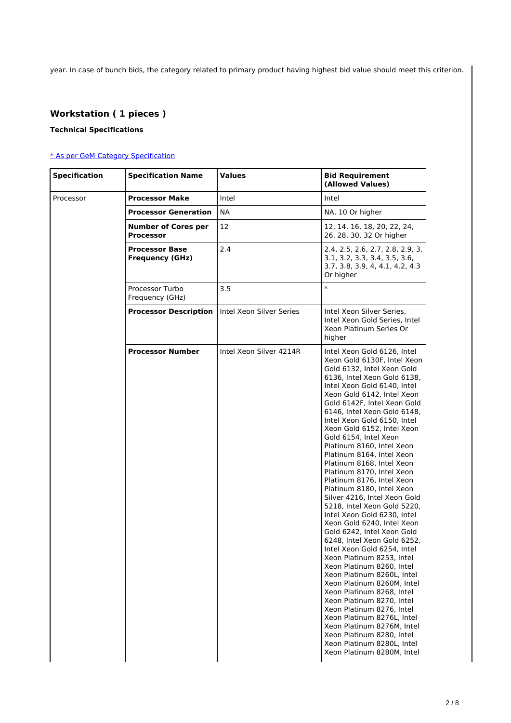year. In case of bunch bids, the category related to primary product having highest bid value should meet this criterion.

# **Workstation ( 1 pieces )**

## **Technical Specifications**

## [\\* As per GeM Category Specification](https://bidplus.gem.gov.in/bidding/bid/showCatalogue/jDf7whjRjMA_qbG6JPpfaB3n7GYePuyEJZYbgqc9u5M)

| <b>Specification</b> | <b>Specification Name</b>                       | <b>Values</b>            | <b>Bid Requirement</b><br>(Allowed Values)                                                                                                                                                                                                                                                                                                                                                                                                                                                                                                                                                                                                                                                                                                                                                                                                                                                                                                                                                                                                                                                                       |
|----------------------|-------------------------------------------------|--------------------------|------------------------------------------------------------------------------------------------------------------------------------------------------------------------------------------------------------------------------------------------------------------------------------------------------------------------------------------------------------------------------------------------------------------------------------------------------------------------------------------------------------------------------------------------------------------------------------------------------------------------------------------------------------------------------------------------------------------------------------------------------------------------------------------------------------------------------------------------------------------------------------------------------------------------------------------------------------------------------------------------------------------------------------------------------------------------------------------------------------------|
| Processor            | <b>Processor Make</b>                           | Intel                    | Intel                                                                                                                                                                                                                                                                                                                                                                                                                                                                                                                                                                                                                                                                                                                                                                                                                                                                                                                                                                                                                                                                                                            |
|                      | <b>Processor Generation</b>                     | <b>NA</b>                | NA, 10 Or higher                                                                                                                                                                                                                                                                                                                                                                                                                                                                                                                                                                                                                                                                                                                                                                                                                                                                                                                                                                                                                                                                                                 |
|                      | <b>Number of Cores per</b><br><b>Processor</b>  | 12                       | 12, 14, 16, 18, 20, 22, 24,<br>26, 28, 30, 32 Or higher                                                                                                                                                                                                                                                                                                                                                                                                                                                                                                                                                                                                                                                                                                                                                                                                                                                                                                                                                                                                                                                          |
|                      | <b>Processor Base</b><br><b>Frequency (GHz)</b> | 2.4                      | 2.4, 2.5, 2.6, 2.7, 2.8, 2.9, 3,<br>3.1, 3.2, 3.3, 3.4, 3.5, 3.6,<br>3.7, 3.8, 3.9, 4, 4.1, 4.2, 4.3<br>Or higher                                                                                                                                                                                                                                                                                                                                                                                                                                                                                                                                                                                                                                                                                                                                                                                                                                                                                                                                                                                                |
|                      | Processor Turbo<br>Frequency (GHz)              | 3.5                      | $\ast$                                                                                                                                                                                                                                                                                                                                                                                                                                                                                                                                                                                                                                                                                                                                                                                                                                                                                                                                                                                                                                                                                                           |
|                      | <b>Processor Description</b>                    | Intel Xeon Silver Series | Intel Xeon Silver Series,<br>Intel Xeon Gold Series, Intel<br>Xeon Platinum Series Or<br>higher                                                                                                                                                                                                                                                                                                                                                                                                                                                                                                                                                                                                                                                                                                                                                                                                                                                                                                                                                                                                                  |
|                      | <b>Processor Number</b>                         | Intel Xeon Silver 4214R  | Intel Xeon Gold 6126, Intel<br>Xeon Gold 6130F, Intel Xeon<br>Gold 6132, Intel Xeon Gold<br>6136. Intel Xeon Gold 6138.<br>Intel Xeon Gold 6140, Intel<br>Xeon Gold 6142, Intel Xeon<br>Gold 6142F, Intel Xeon Gold<br>6146, Intel Xeon Gold 6148,<br>Intel Xeon Gold 6150, Intel<br>Xeon Gold 6152, Intel Xeon<br>Gold 6154, Intel Xeon<br>Platinum 8160, Intel Xeon<br>Platinum 8164, Intel Xeon<br>Platinum 8168, Intel Xeon<br>Platinum 8170, Intel Xeon<br>Platinum 8176, Intel Xeon<br>Platinum 8180, Intel Xeon<br>Silver 4216, Intel Xeon Gold<br>5218, Intel Xeon Gold 5220,<br>Intel Xeon Gold 6230, Intel<br>Xeon Gold 6240. Intel Xeon<br>Gold 6242, Intel Xeon Gold<br>6248, Intel Xeon Gold 6252,<br>Intel Xeon Gold 6254, Intel<br>Xeon Platinum 8253, Intel<br>Xeon Platinum 8260, Intel<br>Xeon Platinum 8260L, Intel<br>Xeon Platinum 8260M, Intel<br>Xeon Platinum 8268, Intel<br>Xeon Platinum 8270, Intel<br>Xeon Platinum 8276, Intel<br>Xeon Platinum 8276L, Intel<br>Xeon Platinum 8276M, Intel<br>Xeon Platinum 8280, Intel<br>Xeon Platinum 8280L, Intel<br>Xeon Platinum 8280M, Intel |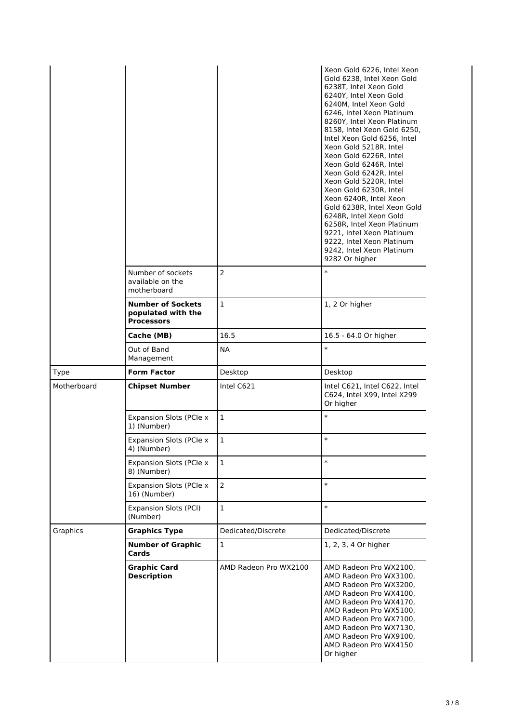|             |                                                                     |                    | Xeon Gold 6226, Intel Xeon<br>Gold 6238, Intel Xeon Gold<br>6238T, Intel Xeon Gold<br>6240Y, Intel Xeon Gold<br>6240M, Intel Xeon Gold<br>6246, Intel Xeon Platinum<br>8260Y, Intel Xeon Platinum<br>8158, Intel Xeon Gold 6250,<br>Intel Xeon Gold 6256, Intel<br>Xeon Gold 5218R, Intel<br>Xeon Gold 6226R, Intel<br>Xeon Gold 6246R, Intel<br>Xeon Gold 6242R, Intel<br>Xeon Gold 5220R, Intel<br>Xeon Gold 6230R, Intel<br>Xeon 6240R, Intel Xeon<br>Gold 6238R, Intel Xeon Gold<br>6248R, Intel Xeon Gold<br>6258R, Intel Xeon Platinum<br>9221, Intel Xeon Platinum<br>9222, Intel Xeon Platinum<br>9242, Intel Xeon Platinum<br>9282 Or higher |
|-------------|---------------------------------------------------------------------|--------------------|-------------------------------------------------------------------------------------------------------------------------------------------------------------------------------------------------------------------------------------------------------------------------------------------------------------------------------------------------------------------------------------------------------------------------------------------------------------------------------------------------------------------------------------------------------------------------------------------------------------------------------------------------------|
|             | Number of sockets<br>available on the<br>motherboard                | $\overline{2}$     | $\ast$                                                                                                                                                                                                                                                                                                                                                                                                                                                                                                                                                                                                                                                |
|             | <b>Number of Sockets</b><br>populated with the<br><b>Processors</b> | $\mathbf{1}$       | 1, 2 Or higher                                                                                                                                                                                                                                                                                                                                                                                                                                                                                                                                                                                                                                        |
|             | Cache (MB)                                                          | 16.5               | 16.5 - 64.0 Or higher                                                                                                                                                                                                                                                                                                                                                                                                                                                                                                                                                                                                                                 |
|             | Out of Band<br>Management                                           | NA                 | $\ast$                                                                                                                                                                                                                                                                                                                                                                                                                                                                                                                                                                                                                                                |
| <b>Type</b> | <b>Form Factor</b>                                                  | Desktop            | Desktop                                                                                                                                                                                                                                                                                                                                                                                                                                                                                                                                                                                                                                               |
| Motherboard | <b>Chipset Number</b>                                               | Intel C621         | Intel C621, Intel C622, Intel<br>C624, Intel X99, Intel X299<br>Or higher                                                                                                                                                                                                                                                                                                                                                                                                                                                                                                                                                                             |
|             |                                                                     | $\mathbf{1}$       | $\ast$                                                                                                                                                                                                                                                                                                                                                                                                                                                                                                                                                                                                                                                |
|             | <b>Expansion Slots (PCIe x</b><br>1) (Number)                       |                    |                                                                                                                                                                                                                                                                                                                                                                                                                                                                                                                                                                                                                                                       |
|             | Expansion Slots (PCle x<br>4) (Number)                              | $\mathbf{1}$       | $\ast$                                                                                                                                                                                                                                                                                                                                                                                                                                                                                                                                                                                                                                                |
|             | Expansion Slots (PCIe x<br>8) (Number)                              | 1                  | $\ast$                                                                                                                                                                                                                                                                                                                                                                                                                                                                                                                                                                                                                                                |
|             | Expansion Slots (PCIe x<br>16) (Number)                             | $\overline{2}$     | $\ast$                                                                                                                                                                                                                                                                                                                                                                                                                                                                                                                                                                                                                                                |
|             | Expansion Slots (PCI)<br>(Number)                                   | $\mathbf{1}$       | $\ast$                                                                                                                                                                                                                                                                                                                                                                                                                                                                                                                                                                                                                                                |
| Graphics    | <b>Graphics Type</b>                                                | Dedicated/Discrete | Dedicated/Discrete                                                                                                                                                                                                                                                                                                                                                                                                                                                                                                                                                                                                                                    |
|             | <b>Number of Graphic</b><br>Cards                                   | 1                  | 1, 2, 3, 4 Or higher                                                                                                                                                                                                                                                                                                                                                                                                                                                                                                                                                                                                                                  |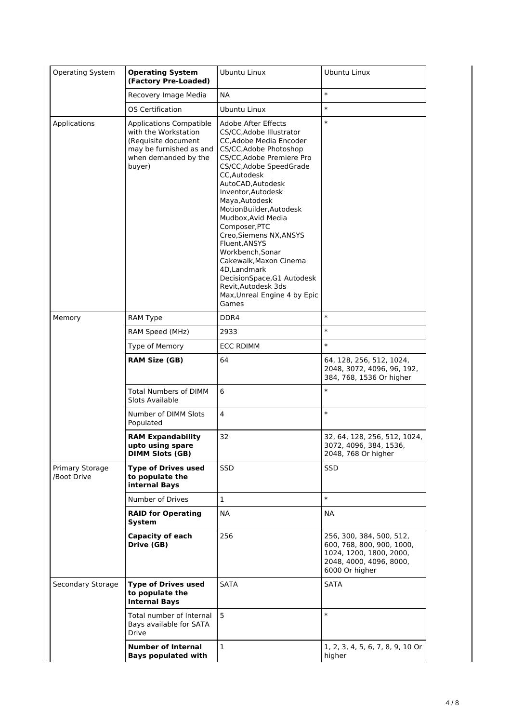| Operating System               | <b>Operating System</b><br>(Factory Pre-Loaded)                                                                                            | Ubuntu Linux                                                                                                                                                                                                                                                                                                                                                                                                                                                                                                             | Ubuntu Linux                                                                                                                  |
|--------------------------------|--------------------------------------------------------------------------------------------------------------------------------------------|--------------------------------------------------------------------------------------------------------------------------------------------------------------------------------------------------------------------------------------------------------------------------------------------------------------------------------------------------------------------------------------------------------------------------------------------------------------------------------------------------------------------------|-------------------------------------------------------------------------------------------------------------------------------|
|                                | Recovery Image Media                                                                                                                       | <b>NA</b>                                                                                                                                                                                                                                                                                                                                                                                                                                                                                                                | $\ast$                                                                                                                        |
|                                | OS Certification                                                                                                                           | Ubuntu Linux                                                                                                                                                                                                                                                                                                                                                                                                                                                                                                             | $\ast$                                                                                                                        |
| Applications                   | <b>Applications Compatible</b><br>with the Workstation<br>(Requisite document<br>may be furnished as and<br>when demanded by the<br>buyer) | Adobe After Effects<br>CS/CC, Adobe Illustrator<br><b>CC, Adobe Media Encoder</b><br>CS/CC, Adobe Photoshop<br>CS/CC.Adobe Premiere Pro<br>CS/CC, Adobe Speed Grade<br>CC,Autodesk<br>AutoCAD, Autodesk<br>Inventor, Autodesk<br>Maya, Autodesk<br>MotionBuilder, Autodesk<br>Mudbox, Avid Media<br>Composer, PTC<br>Creo, Siemens NX, ANSYS<br>Fluent.ANSYS<br>Workbench, Sonar<br>Cakewalk, Maxon Cinema<br>4D, Landmark<br>DecisionSpace, G1 Autodesk<br>Revit, Autodesk 3ds<br>Max, Unreal Engine 4 by Epic<br>Games | $\ast$                                                                                                                        |
| Memory                         | RAM Type                                                                                                                                   | DDR4                                                                                                                                                                                                                                                                                                                                                                                                                                                                                                                     | $\ast$                                                                                                                        |
|                                | RAM Speed (MHz)                                                                                                                            | 2933                                                                                                                                                                                                                                                                                                                                                                                                                                                                                                                     | $\ast$                                                                                                                        |
|                                | Type of Memory                                                                                                                             | <b>ECC RDIMM</b>                                                                                                                                                                                                                                                                                                                                                                                                                                                                                                         | $\ast$                                                                                                                        |
|                                | <b>RAM Size (GB)</b>                                                                                                                       | 64                                                                                                                                                                                                                                                                                                                                                                                                                                                                                                                       | 64, 128, 256, 512, 1024,<br>2048, 3072, 4096, 96, 192,<br>384, 768, 1536 Or higher                                            |
|                                | <b>Total Numbers of DIMM</b><br>Slots Available                                                                                            | 6                                                                                                                                                                                                                                                                                                                                                                                                                                                                                                                        | $\ast$                                                                                                                        |
|                                | Number of DIMM Slots<br>Populated                                                                                                          | 4                                                                                                                                                                                                                                                                                                                                                                                                                                                                                                                        | $\ast$                                                                                                                        |
|                                | <b>RAM Expandability</b><br>upto using spare<br><b>DIMM Slots (GB)</b>                                                                     | 32                                                                                                                                                                                                                                                                                                                                                                                                                                                                                                                       | 32, 64, 128, 256, 512, 1024,<br>3072, 4096, 384, 1536,<br>2048, 768 Or higher                                                 |
| Primary Storage<br>/Boot Drive | <b>Type of Drives used</b><br>to populate the<br>internal Bays                                                                             | SSD                                                                                                                                                                                                                                                                                                                                                                                                                                                                                                                      | <b>SSD</b>                                                                                                                    |
|                                | Number of Drives                                                                                                                           | $\mathbf{1}$                                                                                                                                                                                                                                                                                                                                                                                                                                                                                                             | $\ast$                                                                                                                        |
|                                | <b>RAID for Operating</b><br>System                                                                                                        | NA.                                                                                                                                                                                                                                                                                                                                                                                                                                                                                                                      | NA                                                                                                                            |
|                                | Capacity of each<br>Drive (GB)                                                                                                             | 256                                                                                                                                                                                                                                                                                                                                                                                                                                                                                                                      | 256, 300, 384, 500, 512,<br>600, 768, 800, 900, 1000,<br>1024, 1200, 1800, 2000,<br>2048, 4000, 4096, 8000,<br>6000 Or higher |
| Secondary Storage              | <b>Type of Drives used</b><br>to populate the<br><b>Internal Bays</b>                                                                      | SATA                                                                                                                                                                                                                                                                                                                                                                                                                                                                                                                     | <b>SATA</b>                                                                                                                   |
|                                | Total number of Internal<br>Bays available for SATA<br>Drive                                                                               | 5                                                                                                                                                                                                                                                                                                                                                                                                                                                                                                                        | $\ast$                                                                                                                        |
|                                | <b>Number of Internal</b><br><b>Bays populated with</b>                                                                                    | 1                                                                                                                                                                                                                                                                                                                                                                                                                                                                                                                        | 1, 2, 3, 4, 5, 6, 7, 8, 9, 10 Or<br>higher                                                                                    |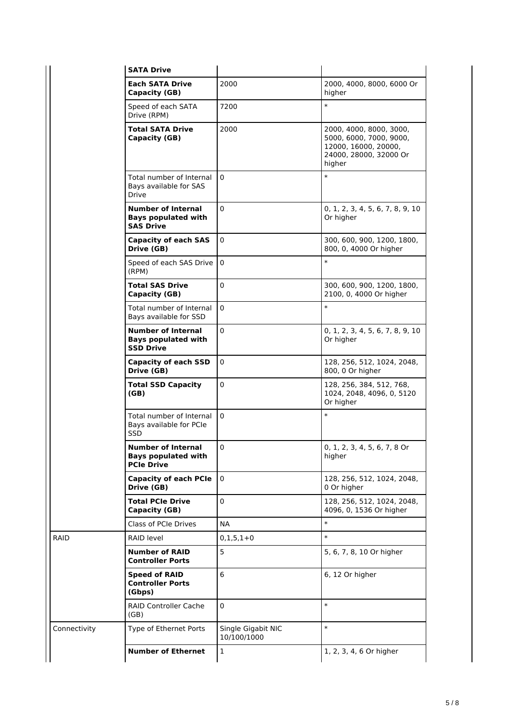|              | <b>SATA Drive</b>                                                            |                                   |                                                                                                                |
|--------------|------------------------------------------------------------------------------|-----------------------------------|----------------------------------------------------------------------------------------------------------------|
|              | Each SATA Drive<br>Capacity (GB)                                             | 2000                              | 2000, 4000, 8000, 6000 Or<br>higher                                                                            |
|              | Speed of each SATA<br>Drive (RPM)                                            | 7200                              | $\ast$                                                                                                         |
|              | <b>Total SATA Drive</b><br>Capacity (GB)                                     | 2000                              | 2000, 4000, 8000, 3000,<br>5000, 6000, 7000, 9000,<br>12000, 16000, 20000,<br>24000, 28000, 32000 Or<br>higher |
|              | Total number of Internal<br>Bays available for SAS<br><b>Drive</b>           | $\Omega$                          | $\ast$                                                                                                         |
|              | <b>Number of Internal</b><br><b>Bays populated with</b><br><b>SAS Drive</b>  | $\Omega$                          | 0, 1, 2, 3, 4, 5, 6, 7, 8, 9, 10<br>Or higher                                                                  |
|              | <b>Capacity of each SAS</b><br>Drive (GB)                                    | $\Omega$                          | 300, 600, 900, 1200, 1800,<br>800, 0, 4000 Or higher                                                           |
|              | Speed of each SAS Drive<br>(RPM)                                             | $\Omega$                          | $\ast$                                                                                                         |
|              | Total SAS Drive<br>Capacity (GB)                                             | $\mathbf 0$                       | 300, 600, 900, 1200, 1800,<br>2100, 0, 4000 Or higher                                                          |
|              | Total number of Internal<br>Bays available for SSD                           | $\Omega$                          | $\ast$                                                                                                         |
|              | <b>Number of Internal</b><br><b>Bays populated with</b><br><b>SSD Drive</b>  | $\mathbf 0$                       | 0, 1, 2, 3, 4, 5, 6, 7, 8, 9, 10<br>Or higher                                                                  |
|              | <b>Capacity of each SSD</b><br>Drive (GB)                                    | $\mathbf 0$                       | 128, 256, 512, 1024, 2048,<br>800, 0 Or higher                                                                 |
|              | <b>Total SSD Capacity</b><br>(GB)                                            | 0                                 | 128, 256, 384, 512, 768,<br>1024, 2048, 4096, 0, 5120<br>Or higher                                             |
|              | Total number of Internal<br>Bays available for PCIe<br>SSD                   | $\Omega$                          | $\ast$                                                                                                         |
|              | <b>Number of Internal</b><br><b>Bays populated with</b><br><b>PCIe Drive</b> | 0                                 | 0, 1, 2, 3, 4, 5, 6, 7, 8 Or<br>higher                                                                         |
|              | <b>Capacity of each PCIe</b><br>Drive (GB)                                   | $\Omega$                          | 128, 256, 512, 1024, 2048,<br>0 Or higher                                                                      |
|              | <b>Total PCIe Drive</b><br>Capacity (GB)                                     | 0                                 | 128, 256, 512, 1024, 2048,<br>4096, 0, 1536 Or higher                                                          |
|              | Class of PCIe Drives                                                         | NA                                | $\ast$                                                                                                         |
| RAID         | RAID level                                                                   | $0,1,5,1+0$                       | $\ast$                                                                                                         |
|              | <b>Number of RAID</b><br><b>Controller Ports</b>                             | 5                                 | 5, 6, 7, 8, 10 Or higher                                                                                       |
|              | <b>Speed of RAID</b><br><b>Controller Ports</b><br>(Gbps)                    | 6                                 | 6, 12 Or higher                                                                                                |
|              | <b>RAID Controller Cache</b><br>(GB)                                         | 0                                 | $\ast$                                                                                                         |
| Connectivity | Type of Ethernet Ports                                                       | Single Gigabit NIC<br>10/100/1000 | $\ast$                                                                                                         |
|              | <b>Number of Ethernet</b>                                                    | $\mathbf{1}$                      | 1, 2, 3, 4, 6 Or higher                                                                                        |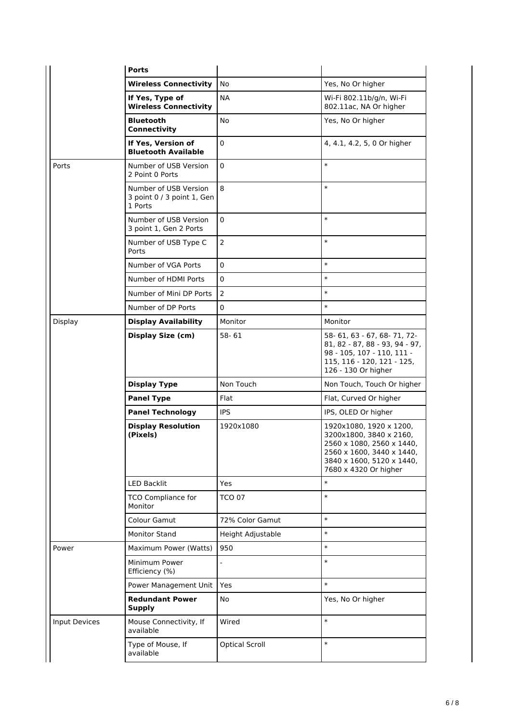|               | <b>Ports</b>                                                   |                          |                                                                                                                                                                    |
|---------------|----------------------------------------------------------------|--------------------------|--------------------------------------------------------------------------------------------------------------------------------------------------------------------|
|               | <b>Wireless Connectivity</b>                                   | No                       | Yes, No Or higher                                                                                                                                                  |
|               | If Yes, Type of<br><b>Wireless Connectivity</b>                | <b>NA</b>                | Wi-Fi 802.11b/g/n, Wi-Fi<br>802.11ac, NA Or higher                                                                                                                 |
|               | <b>Bluetooth</b><br>Connectivity                               | No                       | Yes, No Or higher                                                                                                                                                  |
|               | If Yes, Version of<br><b>Bluetooth Available</b>               | 0                        | 4, 4.1, 4.2, 5, 0 Or higher                                                                                                                                        |
| Ports         | Number of USB Version<br>2 Point 0 Ports                       | 0                        | $\ast$                                                                                                                                                             |
|               | Number of USB Version<br>3 point 0 / 3 point 1, Gen<br>1 Ports | 8                        | $\ast$                                                                                                                                                             |
|               | Number of USB Version<br>3 point 1, Gen 2 Ports                | 0                        | $\ast$                                                                                                                                                             |
|               | Number of USB Type C<br>Ports                                  | $\mathbf 2$              | $\ast$                                                                                                                                                             |
|               | Number of VGA Ports                                            | 0                        | $\ast$                                                                                                                                                             |
|               | Number of HDMI Ports                                           | 0                        | $\ast$                                                                                                                                                             |
|               | Number of Mini DP Ports                                        | $\overline{2}$           | $\ast$                                                                                                                                                             |
|               | Number of DP Ports                                             | 0                        | $\ast$                                                                                                                                                             |
| Display       | <b>Display Availability</b>                                    | Monitor                  | Monitor                                                                                                                                                            |
|               | <b>Display Size (cm)</b>                                       | $58 - 61$                | 58-61, 63 - 67, 68-71, 72-<br>81, 82 - 87, 88 - 93, 94 - 97,<br>98 - 105, 107 - 110, 111 -<br>115, 116 - 120, 121 - 125,<br>126 - 130 Or higher                    |
|               | <b>Display Type</b>                                            | Non Touch                | Non Touch, Touch Or higher                                                                                                                                         |
|               | <b>Panel Type</b>                                              | Flat                     | Flat, Curved Or higher                                                                                                                                             |
|               | <b>Panel Technology</b>                                        | <b>IPS</b>               | IPS, OLED Or higher                                                                                                                                                |
|               | <b>Display Resolution</b><br>(Pixels)                          | 1920x1080                | 1920x1080, 1920 x 1200,<br>3200x1800, 3840 x 2160,<br>2560 x 1080, 2560 x 1440,<br>2560 x 1600, 3440 x 1440,<br>3840 x 1600, 5120 x 1440,<br>7680 x 4320 Or higher |
|               | <b>LED Backlit</b>                                             | <b>Yes</b>               | $\ast$                                                                                                                                                             |
|               | <b>TCO Compliance for</b><br>Monitor                           | <b>TCO 07</b>            | $\ast$                                                                                                                                                             |
|               | Colour Gamut                                                   | 72% Color Gamut          | $\ast$                                                                                                                                                             |
|               | <b>Monitor Stand</b>                                           | Height Adjustable        | $\ast$                                                                                                                                                             |
| Power         | Maximum Power (Watts)                                          | 950                      | $\ast$                                                                                                                                                             |
|               | Minimum Power<br>Efficiency (%)                                | $\overline{\phantom{a}}$ | $\ast$                                                                                                                                                             |
|               | Power Management Unit                                          | <b>Yes</b>               | $\ast$                                                                                                                                                             |
|               | <b>Redundant Power</b><br><b>Supply</b>                        | No                       | Yes, No Or higher                                                                                                                                                  |
| Input Devices | Mouse Connectivity, If<br>available                            | Wired                    | $\ast$                                                                                                                                                             |
|               | Type of Mouse, If<br>available                                 | <b>Optical Scroll</b>    | $\ast$                                                                                                                                                             |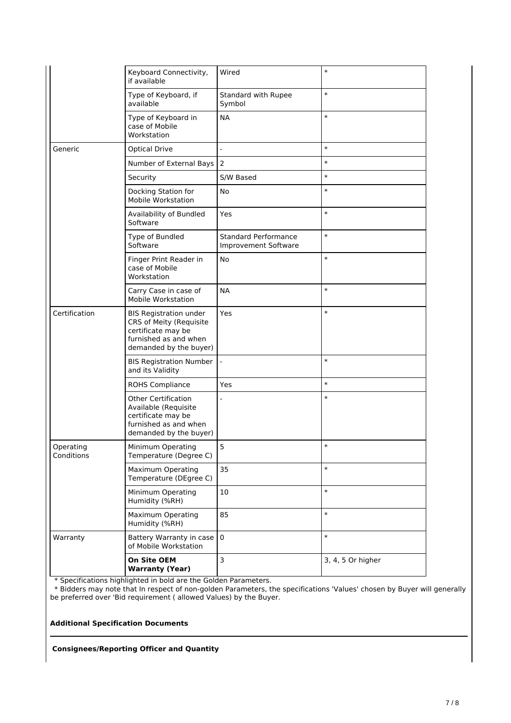|                         | Keyboard Connectivity,<br>if available                                                                                            | Wired                                               | $\ast$            |
|-------------------------|-----------------------------------------------------------------------------------------------------------------------------------|-----------------------------------------------------|-------------------|
|                         | Type of Keyboard, if<br>available                                                                                                 | Standard with Rupee<br>Symbol                       | $\ast$            |
|                         | Type of Keyboard in<br>case of Mobile<br>Workstation                                                                              | <b>NA</b>                                           | $\ast$            |
| Generic                 | <b>Optical Drive</b>                                                                                                              | $\overline{a}$                                      | $\ast$            |
|                         | Number of External Bays                                                                                                           | 2                                                   | $\ast$            |
|                         | Security                                                                                                                          | S/W Based                                           | $\ast$            |
|                         | Docking Station for<br>Mobile Workstation                                                                                         | No                                                  | $\ast$            |
|                         | Availability of Bundled<br>Software                                                                                               | Yes                                                 | $\ast$            |
|                         | Type of Bundled<br>Software                                                                                                       | <b>Standard Performance</b><br>Improvement Software | $\ast$            |
|                         | Finger Print Reader in<br>case of Mobile<br>Workstation                                                                           | No                                                  | $\ast$            |
|                         | Carry Case in case of<br>Mobile Workstation                                                                                       | <b>NA</b>                                           | $\ast$            |
| Certification           | <b>BIS Registration under</b><br>CRS of Meity (Requisite<br>certificate may be<br>furnished as and when<br>demanded by the buyer) | Yes                                                 | $\ast$            |
|                         | <b>BIS Registration Number</b><br>and its Validity                                                                                |                                                     | $\ast$            |
|                         | <b>ROHS Compliance</b>                                                                                                            | Yes                                                 | $\ast$            |
|                         | <b>Other Certification</b><br>Available (Requisite<br>certificate may be<br>furnished as and when<br>demanded by the buyer)       |                                                     | $\ast$            |
| Operating<br>Conditions | Minimum Operating<br>Temperature (Degree C)                                                                                       | 5                                                   | $\ast$            |
|                         | Maximum Operating<br>Temperature (DEgree C)                                                                                       | 35                                                  | $\ast$            |
|                         | Minimum Operating<br>Humidity (%RH)                                                                                               | 10                                                  | $\ast$            |
|                         | <b>Maximum Operating</b><br>Humidity (%RH)                                                                                        | 85                                                  | $\ast$            |
| Warranty                | Battery Warranty in case<br>of Mobile Workstation                                                                                 | $\pmb{0}$                                           | $\ast$            |
|                         | On Site OEM<br><b>Warranty (Year)</b>                                                                                             | 3                                                   | 3, 4, 5 Or higher |

\* Specifications highlighted in bold are the Golden Parameters.

 \* Bidders may note that In respect of non-golden Parameters, the specifications 'Values' chosen by Buyer will generally be preferred over 'Bid requirement ( allowed Values) by the Buyer.

**Additional Specification Documents**

**Consignees/Reporting Officer and Quantity**